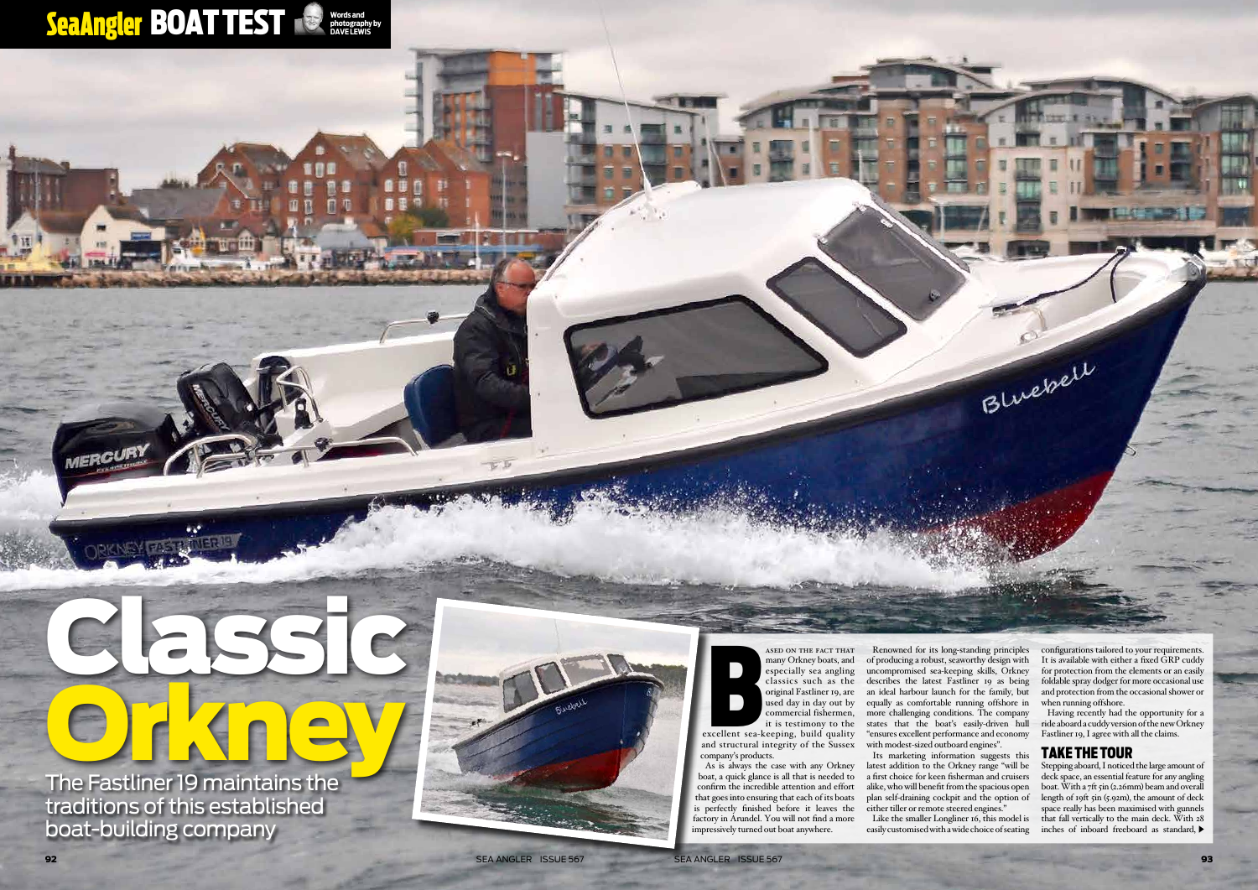#### Sea Angler BOAT TEST **photography by DAVE LEWIS**

# Classic Orkney

The Fastliner 19 maintains the traditions of this established boat-building company



**BERTA CONTROLLER**<br>BERTA SERIES AND STRUCTURE ased on the fact that many Orkney boats, and especially sea angling classics such as the original Fastliner 19, are used day in day out by commercial fishermen, it is testimony to the

excellent sea-keeping, build quality and structural integrity of the Sussex company's products.

As is always the case with any Orkney boat, a quick glance is all that is needed to confirm the incredible attention and effort that goes into ensuring that each of its boats is perfectly finished before it leaves the factory in Arundel. You will not find a more impressively turned out boat anywhere.

configurations tailored to your requirements. It is available with either a fixed GRP cuddy for protection from the elements or an easily foldable spray dodger for more occasional use and protection from the occasional shower or when running offshore.

Having recently had the opportunity for a ride aboard a cuddy version of the new Orkney Fastliner 19, I agree with all the claims.

Renowned for its long-standing principles of producing a robust, seaworthy design with uncompromised sea-keeping skills, Orkney describes the latest Fastliner 19 as being an ideal harbour launch for the family, but equally as comfortable running offshore in more challenging conditions. The company states that the boat's easily-driven hull "ensures excellent performance and economy with modest-sized outboard engines". Its marketing information suggests this

latest addition to the Orkney range "will be a first choice for keen fisherman and cruisers alike, who will benefit from the spacious open plan self-draining cockpit and the option of either tiller or remote steered engines." Like the smaller Longliner 16, this model is easily customised with a wide choice of seating

**MERCUR** 

### TAKE THE TOUR

Bluebell

Stepping aboard, I noticed the large amount of deck space, an essential feature for any angling boat. With a 7ft 5in (2.26mm) beam and overall length of 19ft 5in (5.92m), the amount of deck space really has been maximised with gunnels that fall vertically to the main deck. With 28 inches of inboard freeboard as standard,